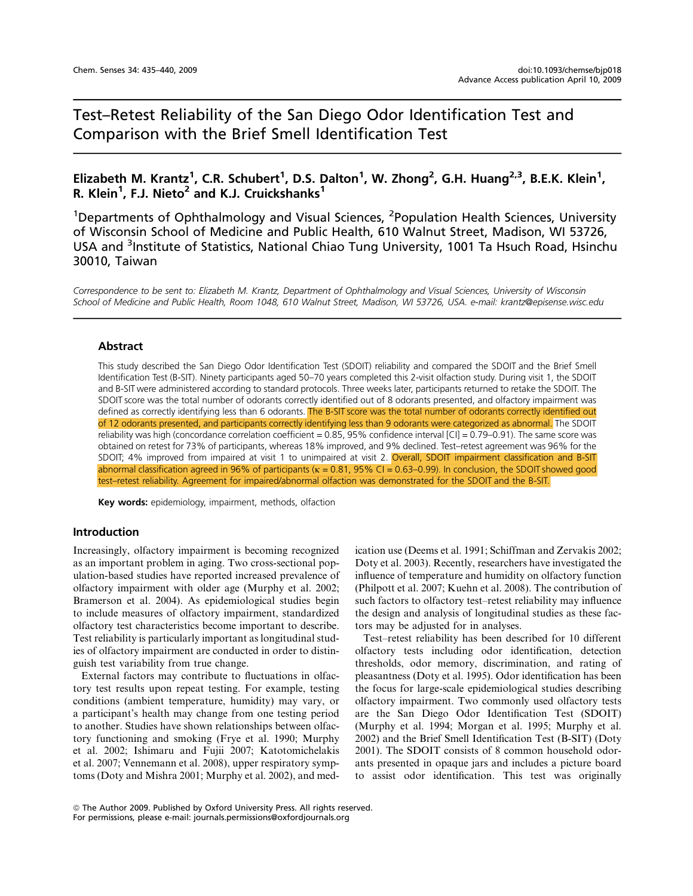# Test–Retest Reliability of the San Diego Odor Identification Test and Comparison with the Brief Smell Identification Test

Elizabeth M. Krantz<sup>1</sup>, C.R. Schubert<sup>1</sup>, D.S. Dalton<sup>1</sup>, W. Zhong<sup>2</sup>, G.H. Huang<sup>2,3</sup>, B.E.K. Klein<sup>1</sup>, R. Klein<sup>1</sup>, F.J. Nieto<sup>2</sup> and K.J. Cruickshanks<sup>1</sup>

<sup>1</sup>Departments of Ophthalmology and Visual Sciences, <sup>2</sup>Population Health Sciences, University of Wisconsin School of Medicine and Public Health, 610 Walnut Street, Madison, WI 53726, USA and <sup>3</sup>Institute of Statistics, National Chiao Tung University, 1001 Ta Hsuch Road, Hsinchu 30010, Taiwan

Correspondence to be sent to: Elizabeth M. Krantz, Department of Ophthalmology and Visual Sciences, University of Wisconsin School of Medicine and Public Health, Room 1048, 610 Walnut Street, Madison, WI 53726, USA. e-mail: krantz@episense.wisc.edu

# Abstract

This study described the San Diego Odor Identification Test (SDOIT) reliability and compared the SDOIT and the Brief Smell Identification Test (B-SIT). Ninety participants aged 50–70 years completed this 2-visit olfaction study. During visit 1, the SDOIT and B-SIT were administered according to standard protocols. Three weeks later, participants returned to retake the SDOIT. The SDOIT score was the total number of odorants correctly identified out of 8 odorants presented, and olfactory impairment was defined as correctly identifying less than 6 odorants. The B-SIT score was the total number of odorants correctly identified out of 12 odorants presented, and participants correctly identifying less than 9 odorants were categorized as abnormal. The SDOIT reliability was high (concordance correlation coefficient = 0.85, 95% confidence interval [CI] = 0.79–0.91). The same score was obtained on retest for 73% of participants, whereas 18% improved, and 9% declined. Test–retest agreement was 96% for the SDOIT; 4% improved from impaired at visit 1 to unimpaired at visit 2. Overall, SDOIT impairment classification and B-SIT abnormal classification agreed in 96% of participants ( $\kappa = 0.81$ , 95% CI = 0.63–0.99). In conclusion, the SDOIT showed good test–retest reliability. Agreement for impaired/abnormal olfaction was demonstrated for the SDOIT and the B-SIT.

Key words: epidemiology, impairment, methods, olfaction

# Introduction

Increasingly, olfactory impairment is becoming recognized as an important problem in aging. Two cross-sectional population-based studies have reported increased prevalence of olfactory impairment with older age (Murphy et al. 2002; Bramerson et al. 2004). As epidemiological studies begin to include measures of olfactory impairment, standardized olfactory test characteristics become important to describe. Test reliability is particularly important as longitudinal studies of olfactory impairment are conducted in order to distinguish test variability from true change.

External factors may contribute to fluctuations in olfactory test results upon repeat testing. For example, testing conditions (ambient temperature, humidity) may vary, or a participant's health may change from one testing period to another. Studies have shown relationships between olfactory functioning and smoking (Frye et al. 1990; Murphy et al. 2002; Ishimaru and Fujii 2007; Katotomichelakis et al. 2007; Vennemann et al. 2008), upper respiratory symptoms (Doty and Mishra 2001; Murphy et al. 2002), and medication use (Deems et al. 1991; Schiffman and Zervakis 2002; Doty et al. 2003). Recently, researchers have investigated the influence of temperature and humidity on olfactory function (Philpott et al. 2007; Kuehn et al. 2008). The contribution of such factors to olfactory test–retest reliability may influence the design and analysis of longitudinal studies as these factors may be adjusted for in analyses.

Test–retest reliability has been described for 10 different olfactory tests including odor identification, detection thresholds, odor memory, discrimination, and rating of pleasantness (Doty et al. 1995). Odor identification has been the focus for large-scale epidemiological studies describing olfactory impairment. Two commonly used olfactory tests are the San Diego Odor Identification Test (SDOIT) (Murphy et al. 1994; Morgan et al. 1995; Murphy et al. 2002) and the Brief Smell Identification Test (B-SIT) (Doty 2001). The SDOIT consists of 8 common household odorants presented in opaque jars and includes a picture board to assist odor identification. This test was originally

<sup>©</sup> The Author 2009. Published by Oxford University Press. All rights reserved. For permissions, please e-mail: journals.permissions@oxfordjournals.org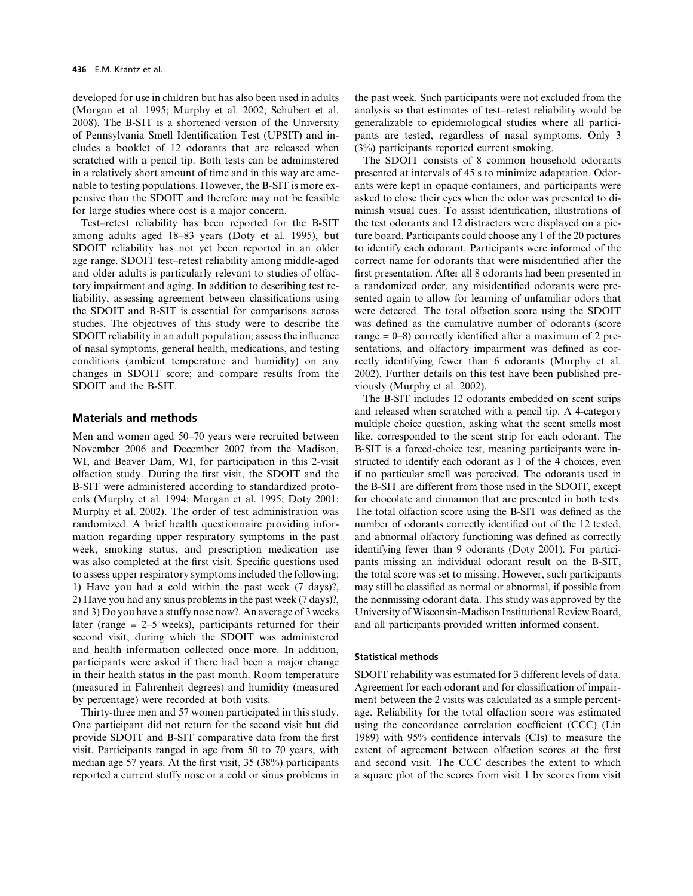developed for use in children but has also been used in adults (Morgan et al. 1995; Murphy et al. 2002; Schubert et al. 2008). The B-SIT is a shortened version of the University of Pennsylvania Smell Identification Test (UPSIT) and includes a booklet of 12 odorants that are released when scratched with a pencil tip. Both tests can be administered in a relatively short amount of time and in this way are amenable to testing populations. However, the B-SIT is more expensive than the SDOIT and therefore may not be feasible for large studies where cost is a major concern.

Test–retest reliability has been reported for the B-SIT among adults aged 18–83 years (Doty et al. 1995), but SDOIT reliability has not yet been reported in an older age range. SDOIT test–retest reliability among middle-aged and older adults is particularly relevant to studies of olfactory impairment and aging. In addition to describing test reliability, assessing agreement between classifications using the SDOIT and B-SIT is essential for comparisons across studies. The objectives of this study were to describe the SDOIT reliability in an adult population; assess the influence of nasal symptoms, general health, medications, and testing conditions (ambient temperature and humidity) on any changes in SDOIT score; and compare results from the SDOIT and the B-SIT.

# Materials and methods

Men and women aged 50–70 years were recruited between November 2006 and December 2007 from the Madison, WI, and Beaver Dam, WI, for participation in this 2-visit olfaction study. During the first visit, the SDOIT and the B-SIT were administered according to standardized protocols (Murphy et al. 1994; Morgan et al. 1995; Doty 2001; Murphy et al. 2002). The order of test administration was randomized. A brief health questionnaire providing information regarding upper respiratory symptoms in the past week, smoking status, and prescription medication use was also completed at the first visit. Specific questions used to assess upper respiratory symptoms included the following: 1) Have you had a cold within the past week (7 days)?, 2) Have you had any sinus problems in the past week (7 days)?, and 3) Do you have a stuffy nose now?. An average of 3 weeks later (range  $= 2-5$  weeks), participants returned for their second visit, during which the SDOIT was administered and health information collected once more. In addition, participants were asked if there had been a major change in their health status in the past month. Room temperature (measured in Fahrenheit degrees) and humidity (measured by percentage) were recorded at both visits.

Thirty-three men and 57 women participated in this study. One participant did not return for the second visit but did provide SDOIT and B-SIT comparative data from the first visit. Participants ranged in age from 50 to 70 years, with median age 57 years. At the first visit, 35 (38%) participants reported a current stuffy nose or a cold or sinus problems in the past week. Such participants were not excluded from the analysis so that estimates of test–retest reliability would be generalizable to epidemiological studies where all participants are tested, regardless of nasal symptoms. Only 3 (3%) participants reported current smoking.

The SDOIT consists of 8 common household odorants presented at intervals of 45 s to minimize adaptation. Odorants were kept in opaque containers, and participants were asked to close their eyes when the odor was presented to diminish visual cues. To assist identification, illustrations of the test odorants and 12 distracters were displayed on a picture board. Participants could choose any 1 of the 20 pictures to identify each odorant. Participants were informed of the correct name for odorants that were misidentified after the first presentation. After all 8 odorants had been presented in a randomized order, any misidentified odorants were presented again to allow for learning of unfamiliar odors that were detected. The total olfaction score using the SDOIT was defined as the cumulative number of odorants (score range = 0–8) correctly identified after a maximum of 2 presentations, and olfactory impairment was defined as correctly identifying fewer than 6 odorants (Murphy et al. 2002). Further details on this test have been published previously (Murphy et al. 2002).

The B-SIT includes 12 odorants embedded on scent strips and released when scratched with a pencil tip. A 4-category multiple choice question, asking what the scent smells most like, corresponded to the scent strip for each odorant. The B-SIT is a forced-choice test, meaning participants were instructed to identify each odorant as 1 of the 4 choices, even if no particular smell was perceived. The odorants used in the B-SIT are different from those used in the SDOIT, except for chocolate and cinnamon that are presented in both tests. The total olfaction score using the B-SIT was defined as the number of odorants correctly identified out of the 12 tested, and abnormal olfactory functioning was defined as correctly identifying fewer than 9 odorants (Doty 2001). For participants missing an individual odorant result on the B-SIT, the total score was set to missing. However, such participants may still be classified as normal or abnormal, if possible from the nonmissing odorant data. This study was approved by the University of Wisconsin-Madison Institutional Review Board, and all participants provided written informed consent.

#### Statistical methods

SDOIT reliability was estimated for 3 different levels of data. Agreement for each odorant and for classification of impairment between the 2 visits was calculated as a simple percentage. Reliability for the total olfaction score was estimated using the concordance correlation coefficient (CCC) (Lin 1989) with 95% confidence intervals (CIs) to measure the extent of agreement between olfaction scores at the first and second visit. The CCC describes the extent to which a square plot of the scores from visit 1 by scores from visit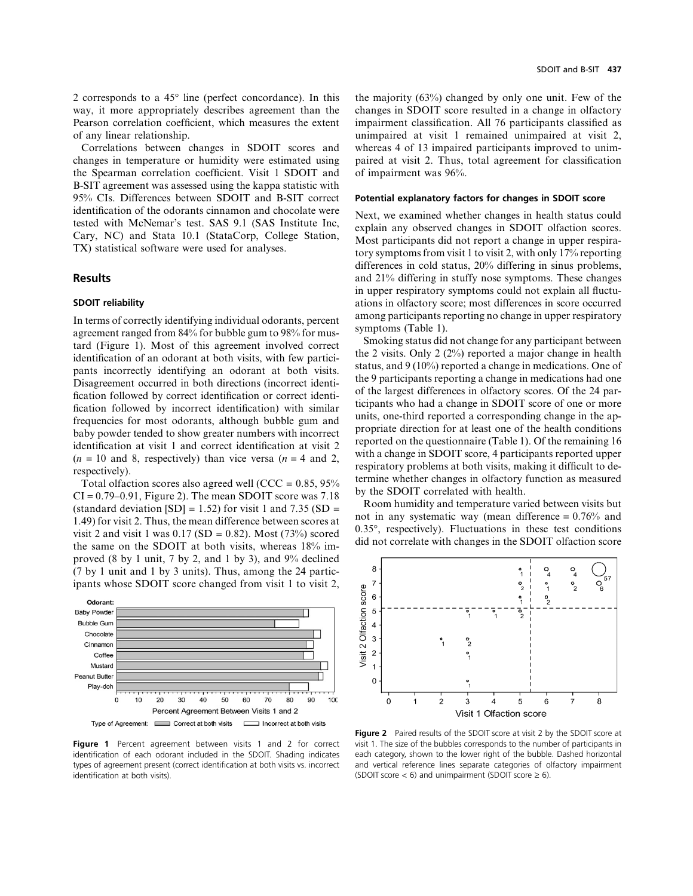2 corresponds to a  $45^{\circ}$  line (perfect concordance). In this way, it more appropriately describes agreement than the Pearson correlation coefficient, which measures the extent of any linear relationship.

Correlations between changes in SDOIT scores and changes in temperature or humidity were estimated using the Spearman correlation coefficient. Visit 1 SDOIT and B-SIT agreement was assessed using the kappa statistic with 95% CIs. Differences between SDOIT and B-SIT correct identification of the odorants cinnamon and chocolate were tested with McNemar's test. SAS 9.1 (SAS Institute Inc, Cary, NC) and Stata 10.1 (StataCorp, College Station, TX) statistical software were used for analyses.

# **Results**

#### SDOIT reliability

In terms of correctly identifying individual odorants, percent agreement ranged from 84% for bubble gum to 98% for mustard (Figure 1). Most of this agreement involved correct identification of an odorant at both visits, with few participants incorrectly identifying an odorant at both visits. Disagreement occurred in both directions (incorrect identification followed by correct identification or correct identification followed by incorrect identification) with similar frequencies for most odorants, although bubble gum and baby powder tended to show greater numbers with incorrect identification at visit 1 and correct identification at visit 2  $(n = 10$  and 8, respectively) than vice versa  $(n = 4$  and 2, respectively).

Total olfaction scores also agreed well (CCC =  $0.85, 95\%$ )  $CI = 0.79 - 0.91$ , Figure 2). The mean SDOIT score was  $7.18$ (standard deviation  $[SD] = 1.52$ ) for visit 1 and 7.35  $(SD =$ 1.49) for visit 2. Thus, the mean difference between scores at visit 2 and visit 1 was  $0.17$  (SD = 0.82). Most (73%) scored the same on the SDOIT at both visits, whereas 18% improved (8 by 1 unit, 7 by 2, and 1 by 3), and 9% declined (7 by 1 unit and 1 by 3 units). Thus, among the 24 participants whose SDOIT score changed from visit 1 to visit 2,



Figure 1 Percent agreement between visits 1 and 2 for correct identification of each odorant included in the SDOIT. Shading indicates types of agreement present (correct identification at both visits vs. incorrect identification at both visits).

the majority (63%) changed by only one unit. Few of the changes in SDOIT score resulted in a change in olfactory impairment classification. All 76 participants classified as unimpaired at visit 1 remained unimpaired at visit 2, whereas 4 of 13 impaired participants improved to unimpaired at visit 2. Thus, total agreement for classification of impairment was 96%.

#### Potential explanatory factors for changes in SDOIT score

Next, we examined whether changes in health status could explain any observed changes in SDOIT olfaction scores. Most participants did not report a change in upper respiratory symptoms from visit 1 to visit 2, with only 17% reporting differences in cold status, 20% differing in sinus problems, and 21% differing in stuffy nose symptoms. These changes in upper respiratory symptoms could not explain all fluctuations in olfactory score; most differences in score occurred among participants reporting no change in upper respiratory symptoms (Table 1).

Smoking status did not change for any participant between the 2 visits. Only 2 (2%) reported a major change in health status, and 9 (10%) reported a change in medications. One of the 9 participants reporting a change in medications had one of the largest differences in olfactory scores. Of the 24 participants who had a change in SDOIT score of one or more units, one-third reported a corresponding change in the appropriate direction for at least one of the health conditions reported on the questionnaire (Table 1). Of the remaining 16 with a change in SDOIT score, 4 participants reported upper respiratory problems at both visits, making it difficult to determine whether changes in olfactory function as measured by the SDOIT correlated with health.

Room humidity and temperature varied between visits but not in any systematic way (mean difference = 0.76% and  $0.35^{\circ}$ , respectively). Fluctuations in these test conditions did not correlate with changes in the SDOIT olfaction score



Figure 2 Paired results of the SDOIT score at visit 2 by the SDOIT score at visit 1. The size of the bubbles corresponds to the number of participants in each category, shown to the lower right of the bubble. Dashed horizontal and vertical reference lines separate categories of olfactory impairment (SDOIT score  $<$  6) and unimpairment (SDOIT score  $\geq$  6).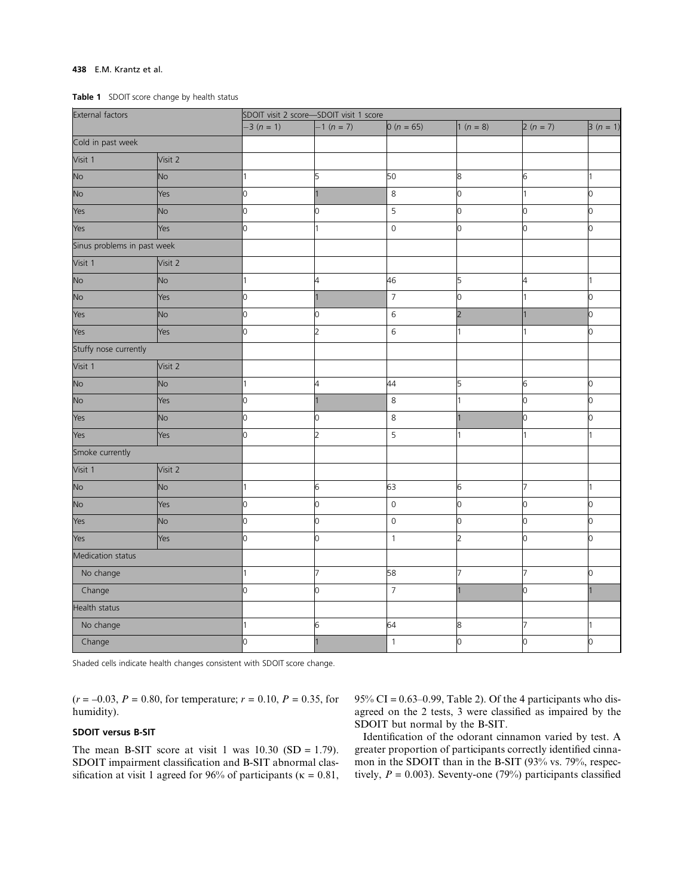### 438 E.M. Krantz et al.

#### Table 1 SDOIT score change by health status

| <b>External factors</b>     |         |             | SDOIT visit 2 score-SDOIT visit 1 score |                     |             |             |            |  |
|-----------------------------|---------|-------------|-----------------------------------------|---------------------|-------------|-------------|------------|--|
|                             |         | $-3(n = 1)$ | $-1 (n = 7)$                            | $0 (n = 65)$        | $1 (n = 8)$ | $2 (n = 7)$ | $3(n = 1)$ |  |
| Cold in past week           |         |             |                                         |                     |             |             |            |  |
| Visit 1                     | Visit 2 |             |                                         |                     |             |             |            |  |
| No                          | No      |             | 5                                       | 50                  | 8           | 6           |            |  |
| No                          | Yes     | lо          | $\overline{1}$                          | $\,8\,$             | 0           | 1           | 0          |  |
| Yes                         | No      | 0           | 0                                       | $\sqrt{5}$          | 0           | 0           | ∩          |  |
| Yes                         | Yes     | lo.         | 1                                       | $\mathsf{O}\xspace$ | 0           | 0           | O          |  |
| Sinus problems in past week |         |             |                                         |                     |             |             |            |  |
| Visit 1                     | Visit 2 |             |                                         |                     |             |             |            |  |
| No                          | No      |             | 4                                       | 46                  | 5           | 4           |            |  |
| No                          | Yes     | 0           | $\mathbf{1}$                            | $\overline{7}$      | 0           | 1           | 0          |  |
| Yes                         | No      | 0           | 0                                       | $\,$ 6 $\,$         |             |             | n          |  |
| Yes                         | Yes     | Iо          | $\overline{2}$                          | $\,$ 6 $\,$         |             | 1           |            |  |
| Stuffy nose currently       |         |             |                                         |                     |             |             |            |  |
| Visit 1                     | Visit 2 |             |                                         |                     |             |             |            |  |
| No                          | No      |             | 4                                       | 44                  |             | 6           |            |  |
| No                          | Yes     | Iо          |                                         | $\,8\,$             |             | 0           | O          |  |
| Yes                         | No      | 0           | 0                                       | $\,8\,$             |             | 10          |            |  |
| Yes                         | Yes     | O           | $\overline{2}$                          | 5                   |             |             |            |  |
| Smoke currently             |         |             |                                         |                     |             |             |            |  |
| Visit 1                     | Visit 2 |             |                                         |                     |             |             |            |  |
| No                          | No      |             | 6                                       | 63                  | 6           |             |            |  |
| No                          | Yes     | O           | 0                                       | $\mathsf{O}\xspace$ | 0           | 0           | ∩          |  |
| Yes                         | No      | Iо          | 0                                       | $\mathsf{O}\xspace$ | 0           | 0           | 0          |  |
| Yes                         | Yes     | lо          | 0                                       | $\mathbf{1}$        | っ           | 0           | 0          |  |
| Medication status           |         |             |                                         |                     |             |             |            |  |
| No change                   |         |             | 7                                       | 58                  |             |             | 0          |  |
| Change                      |         | Iо          | 0                                       | $\overline{7}$      |             | lo.         |            |  |
| Health status               |         |             |                                         |                     |             |             |            |  |
| No change                   |         |             | 6                                       | 64                  | 8           | 7           |            |  |
| Change                      |         | Iо          | $\mathbf{1}$                            | $\overline{1}$      | 0           | 0           | 0          |  |

Shaded cells indicate health changes consistent with SDOIT score change.

 $(r = -0.03, P = 0.80,$  for temperature;  $r = 0.10, P = 0.35,$  for humidity).

# SDOIT versus B-SIT

The mean B-SIT score at visit 1 was  $10.30$  (SD = 1.79). SDOIT impairment classification and B-SIT abnormal classification at visit 1 agreed for 96% of participants ( $\kappa = 0.81$ , 95% CI =  $0.63-0.99$ , Table 2). Of the 4 participants who disagreed on the 2 tests, 3 were classified as impaired by the SDOIT but normal by the B-SIT.

Identification of the odorant cinnamon varied by test. A greater proportion of participants correctly identified cinnamon in the SDOIT than in the B-SIT (93% vs. 79%, respectively,  $P = 0.003$ ). Seventy-one (79%) participants classified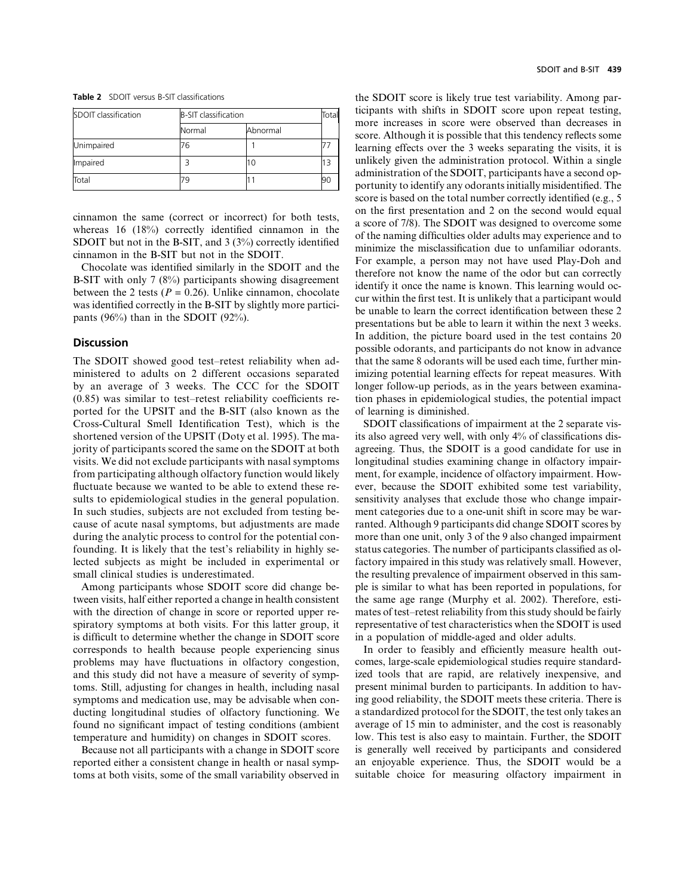Table 2 SDOIT versus B-SIT classifications

| SDOIT classification | <b>B-SIT classification</b> | Гоtal    |  |
|----------------------|-----------------------------|----------|--|
|                      | Normal                      | Abnormal |  |
| Unimpaired           | 76                          |          |  |
| Impaired             |                             | 10       |  |
| Total                | 79                          |          |  |

cinnamon the same (correct or incorrect) for both tests, whereas 16 (18%) correctly identified cinnamon in the SDOIT but not in the B-SIT, and 3 (3%) correctly identified cinnamon in the B-SIT but not in the SDOIT.

Chocolate was identified similarly in the SDOIT and the B-SIT with only 7 (8%) participants showing disagreement between the 2 tests ( $P = 0.26$ ). Unlike cinnamon, chocolate was identified correctly in the B-SIT by slightly more participants (96%) than in the SDOIT (92%).

### **Discussion**

The SDOIT showed good test–retest reliability when administered to adults on 2 different occasions separated by an average of 3 weeks. The CCC for the SDOIT (0.85) was similar to test–retest reliability coefficients reported for the UPSIT and the B-SIT (also known as the Cross-Cultural Smell Identification Test), which is the shortened version of the UPSIT (Doty et al. 1995). The majority of participants scored the same on the SDOIT at both visits. We did not exclude participants with nasal symptoms from participating although olfactory function would likely fluctuate because we wanted to be able to extend these results to epidemiological studies in the general population. In such studies, subjects are not excluded from testing because of acute nasal symptoms, but adjustments are made during the analytic process to control for the potential confounding. It is likely that the test's reliability in highly selected subjects as might be included in experimental or small clinical studies is underestimated.

Among participants whose SDOIT score did change between visits, half either reported a change in health consistent with the direction of change in score or reported upper respiratory symptoms at both visits. For this latter group, it is difficult to determine whether the change in SDOIT score corresponds to health because people experiencing sinus problems may have fluctuations in olfactory congestion, and this study did not have a measure of severity of symptoms. Still, adjusting for changes in health, including nasal symptoms and medication use, may be advisable when conducting longitudinal studies of olfactory functioning. We found no significant impact of testing conditions (ambient temperature and humidity) on changes in SDOIT scores.

Because not all participants with a change in SDOIT score reported either a consistent change in health or nasal symptoms at both visits, some of the small variability observed in

the SDOIT score is likely true test variability. Among participants with shifts in SDOIT score upon repeat testing, more increases in score were observed than decreases in score. Although it is possible that this tendency reflects some learning effects over the 3 weeks separating the visits, it is unlikely given the administration protocol. Within a single administration of the SDOIT, participants have a second opportunity to identify any odorants initially misidentified. The score is based on the total number correctly identified (e.g., 5 on the first presentation and 2 on the second would equal a score of 7/8). The SDOIT was designed to overcome some of the naming difficulties older adults may experience and to minimize the misclassification due to unfamiliar odorants. For example, a person may not have used Play-Doh and therefore not know the name of the odor but can correctly identify it once the name is known. This learning would occur within the first test. It is unlikely that a participant would be unable to learn the correct identification between these 2 presentations but be able to learn it within the next 3 weeks. In addition, the picture board used in the test contains 20 possible odorants, and participants do not know in advance that the same 8 odorants will be used each time, further minimizing potential learning effects for repeat measures. With longer follow-up periods, as in the years between examination phases in epidemiological studies, the potential impact of learning is diminished.

SDOIT classifications of impairment at the 2 separate visits also agreed very well, with only 4% of classifications disagreeing. Thus, the SDOIT is a good candidate for use in longitudinal studies examining change in olfactory impairment, for example, incidence of olfactory impairment. However, because the SDOIT exhibited some test variability, sensitivity analyses that exclude those who change impairment categories due to a one-unit shift in score may be warranted. Although 9 participants did change SDOIT scores by more than one unit, only 3 of the 9 also changed impairment status categories. The number of participants classified as olfactory impaired in this study was relatively small. However, the resulting prevalence of impairment observed in this sample is similar to what has been reported in populations, for the same age range (Murphy et al. 2002). Therefore, estimates of test–retest reliability from this study should be fairly representative of test characteristics when the SDOIT is used in a population of middle-aged and older adults.

In order to feasibly and efficiently measure health outcomes, large-scale epidemiological studies require standardized tools that are rapid, are relatively inexpensive, and present minimal burden to participants. In addition to having good reliability, the SDOIT meets these criteria. There is a standardized protocol for the SDOIT, the test only takes an average of 15 min to administer, and the cost is reasonably low. This test is also easy to maintain. Further, the SDOIT is generally well received by participants and considered an enjoyable experience. Thus, the SDOIT would be a suitable choice for measuring olfactory impairment in